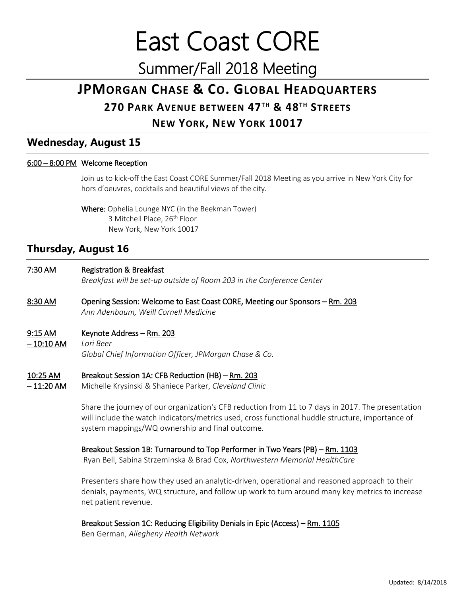East Coast CORE Summer/Fall 2018 Meeting

# **JPMORGAN CHASE & CO. GLOBAL HEADQUARTERS**

# **270 PARK AVENUE BETWEEN 47TH & 48TH STREETS**

# **NEW YORK, NEW YORK 10017**

### **Wednesday, August 15**

#### 6:00 – 8:00 PM Welcome Reception

Join us to kick-off the East Coast CORE Summer/Fall 2018 Meeting as you arrive in New York City for hors d'oeuvres, cocktails and beautiful views of the city.

Where: Ophelia Lounge NYC (in the Beekman Tower) 3 Mitchell Place, 26<sup>th</sup> Floor New York, New York 10017

## **Thursday, August 16**

#### 7:30 AM Registration & Breakfast *Breakfast will be set-up outside of Room 203 in the Conference Center*

#### 8:30 AM Opening Session: Welcome to East Coast CORE, Meeting our Sponsors – Rm. 203 *Ann Adenbaum, Weill Cornell Medicine*

#### 9:15 AM Keynote Address – Rm. 203

– 10:10 AM *Lori Beer Global Chief Information Officer, JPMorgan Chase & Co.*

#### 10:25 AM Breakout Session 1A: CFB Reduction (HB) – Rm. 203

– 11:20 AM Michelle Krysinski & Shaniece Parker, *Cleveland Clinic*

Share the journey of our organization's CFB reduction from 11 to 7 days in 2017. The presentation will include the watch indicators/metrics used, cross functional huddle structure, importance of system mappings/WQ ownership and final outcome.

#### Breakout Session 1B: Turnaround to Top Performer in Two Years (PB) – Rm. 1103

Ryan Bell, Sabina Strzeminska & Brad Cox, *Northwestern Memorial HealthCare*

Presenters share how they used an analytic-driven, operational and reasoned approach to their denials, payments, WQ structure, and follow up work to turn around many key metrics to increase net patient revenue.

#### Breakout Session 1C: Reducing Eligibility Denials in Epic (Access) – Rm. 1105

Ben German, *Allegheny Health Network*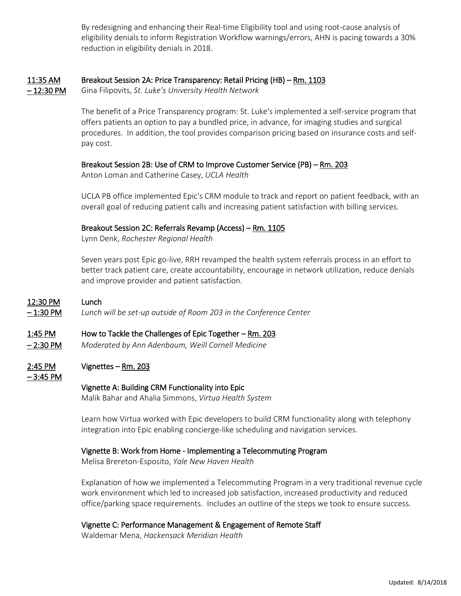By redesigning and enhancing their Real-time Eligibility tool and using root-cause analysis of eligibility denials to inform Registration Workflow warnings/errors, AHN is pacing towards a 30% reduction in eligibility denials in 2018.

#### 11:35 AM Breakout Session 2A: Price Transparency: Retail Pricing (HB) – Rm. 1103

– 12:30 PM Gina Filipovits, *St. Luke's University Health Network*

The benefit of a Price Transparency program: St. Luke's implemented a self-service program that offers patients an option to pay a bundled price, in advance, for imaging studies and surgical procedures. In addition, the tool provides comparison pricing based on insurance costs and selfpay cost.

#### Breakout Session 2B: Use of CRM to Improve Customer Service (PB) – Rm. 203

Anton Loman and Catherine Casey, *UCLA Health*

UCLA PB office implemented Epic's CRM module to track and report on patient feedback, with an overall goal of reducing patient calls and increasing patient satisfaction with billing services.

#### Breakout Session 2C: Referrals Revamp (Access) – Rm. 1105

Lynn Denk, *Rochester Regional Health*

Seven years post Epic go-live, RRH revamped the health system referrals process in an effort to better track patient care, create accountability, encourage in network utilization, reduce denials and improve provider and patient satisfaction.

#### 12:30 PM Lunch

– 1:30 PM *Lunch will be set-up outside of Room 203 in the Conference Center*

#### 1:45 PM How to Tackle the Challenges of Epic Together – Rm. 203

– 2:30 PM *Moderated by Ann Adenbaum, Weill Cornell Medicine*

### $2:45$  PM Vignettes – Rm. 203

– 3:45 PM

#### Vignette A: Building CRM Functionality into Epic

Malik Bahar and Ahalia Simmons, *Virtua Health System*

Learn how Virtua worked with Epic developers to build CRM functionality along with telephony integration into Epic enabling concierge-like scheduling and navigation services.

#### Vignette B: Work from Home - Implementing a Telecommuting Program

Melisa Brereton-Esposito, *Yale New Haven Health*

Explanation of how we implemented a Telecommuting Program in a very traditional revenue cycle work environment which led to increased job satisfaction, increased productivity and reduced office/parking space requirements. Includes an outline of the steps we took to ensure success.

#### Vignette C: Performance Management & Engagement of Remote Staff

Waldemar Mena, *Hackensack Meridian Health*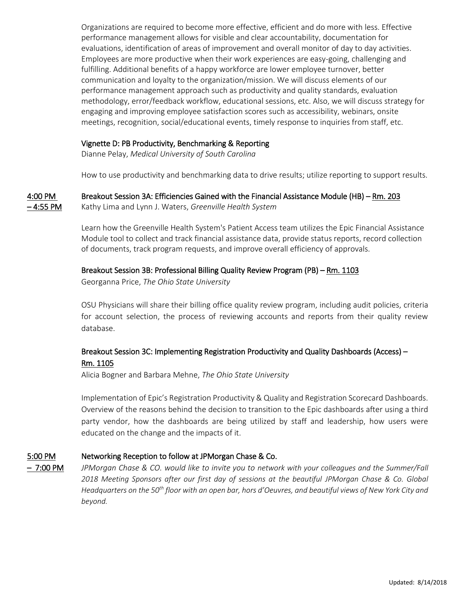Organizations are required to become more effective, efficient and do more with less. Effective performance management allows for visible and clear accountability, documentation for evaluations, identification of areas of improvement and overall monitor of day to day activities. Employees are more productive when their work experiences are easy-going, challenging and fulfilling. Additional benefits of a happy workforce are lower employee turnover, better communication and loyalty to the organization/mission. We will discuss elements of our performance management approach such as productivity and quality standards, evaluation methodology, error/feedback workflow, educational sessions, etc. Also, we will discuss strategy for engaging and improving employee satisfaction scores such as accessibility, webinars, onsite meetings, recognition, social/educational events, timely response to inquiries from staff, etc.

#### Vignette D: PB Productivity, Benchmarking & Reporting

Dianne Pelay, *Medical University of South Carolina*

How to use productivity and benchmarking data to drive results; utilize reporting to support results.

4:00 PM Breakout Session 3A: Efficiencies Gained with the Financial Assistance Module (HB) – Rm. 203 – 4:55 PM Kathy Lima and Lynn J. Waters, *Greenville Health System*

> Learn how the Greenville Health System's Patient Access team utilizes the Epic Financial Assistance Module tool to collect and track financial assistance data, provide status reports, record collection of documents, track program requests, and improve overall efficiency of approvals.

#### Breakout Session 3B: Professional Billing Quality Review Program (PB) – Rm. 1103

Georganna Price, *The Ohio State University*

OSU Physicians will share their billing office quality review program, including audit policies, criteria for account selection, the process of reviewing accounts and reports from their quality review database.

### Breakout Session 3C: Implementing Registration Productivity and Quality Dashboards (Access) – Rm. 1105

Alicia Bogner and Barbara Mehne, *The Ohio State University*

Implementation of Epic's Registration Productivity & Quality and Registration Scorecard Dashboards. Overview of the reasons behind the decision to transition to the Epic dashboards after using a third party vendor, how the dashboards are being utilized by staff and leadership, how users were educated on the change and the impacts of it.

#### 5:00 PM Networking Reception to follow at JPMorgan Chase & Co.

– 7:00 PM *JPMorgan Chase & CO. would like to invite you to network with your colleagues and the Summer/Fall 2018 Meeting Sponsors after our first day of sessions at the beautiful JPMorgan Chase & Co. Global Headquarters on the 50th floor with an open bar, hors d'Oeuvres, and beautiful views of New York City and beyond.*